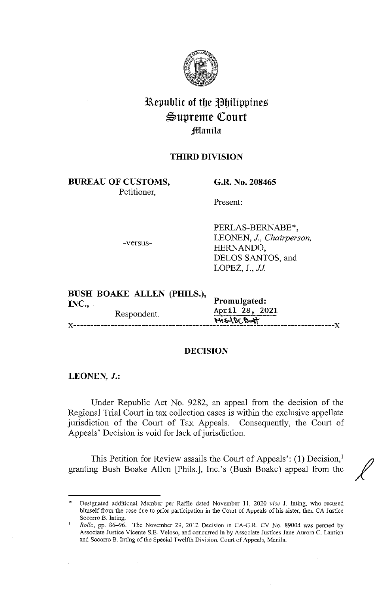

# Republic of the Philippines  $\mathfrak{S}$ upreme Court i]ID:anila

# **THIRD DIVISION**

**BUREAU OF CUSTOMS,**  Petitioner,

**G.R. No. 208465** 

Present:

-versus-

PERLAS-BERNABE\*, LEONEN, J., *Chairperson,*  HERNANDO, DELOS SANTOS, and LOPEZ, J., *JJ.* 

**BUSH BOAKE ALLEN (PHILS.), INC., Promulgated:** Respondent. **April 28, 2021**  $M=100$  of  $T=100$ 

#### **DECISION**

**LEONEN, J.:** 

Under Republic Act No. 9282, an appeal from the decision of the Regional Trial Court in tax collection cases is within the exclusive appellate jurisdiction of the Court of Tax Appeals. Consequently, the Court of Appeals' Decision is void for lack of jurisdiction.

This Petition for Review assails the Court of Appeals': (1) Decision,<sup>1</sup> granting Bush Boake Allen [Phils.], Inc.'s (Bush Boake) appeal from the

<sup>\*</sup> Designated additional Member per Raffle dated November 11, 2020 *vice* J. Inting, who recused himself from the case due to prior participation in the Court of Appeals of his sister, then CA Justice Socorro B. Inting.

*Rollo,* pp. 86-96. The November 29, 2012 Decision in CA-G.R. CV No. 89004 was penned by Associate Justice Vicente S.E. Veloso, and concurred in by Associate Justices Jane Aurora C. Lantion and Socorro B. lnting of the Special Twelfth Division. Court of Appeals, Manila.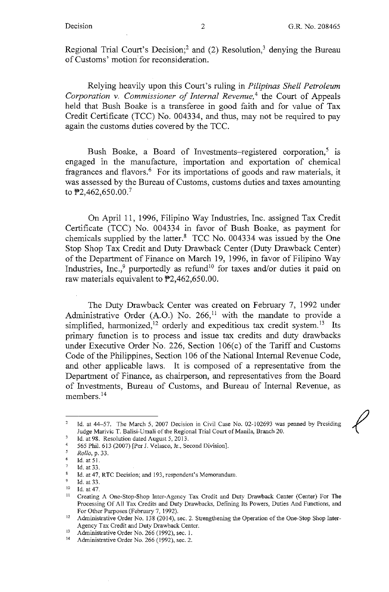*f* 

Regional Trial Court's Decision;<sup>2</sup> and (2) Resolution,<sup>3</sup> denying the Bureau of Customs' motion for reconsideration.

Relying heavily upon this Court's ruling in *Pilipinas Shell Petroleum Corporation v. Commissioner of Internal Revenue*,<sup>4</sup> the Court of Appeals held that Bush Boake is a transferee in good faith and for value of Tax Credit Certificate (TCC) No. 004334, and thus, may not be required to pay again the customs duties covered by the TCC.

Bush Boake, a Board of Investments-registered corporation,<sup>5</sup> is engaged in the manufacture, importation and exportation of chemical fragrances and flavors.<sup>6</sup> For its importations of goods and raw materials, it was assessed by the Bureau of Customs, customs duties and taxes amounting to  $\text{\texttt{P2}}$ ,462,650.00.<sup>7</sup>

On April 11, 1996, Filipino Way Industries, Inc. assigned Tax Credit Certificate (TCC) No. 004334 in favor of Bush Boake, as payment for chemicals supplied by the latter. $8$  TCC No. 004334 was issued by the One Stop Shop Tax Credit and Duty Drawback Center (Duty Drawback Center) of the Department of Finance on March 19, 1996, in favor of Filipino Way Industries, Inc.,<sup>9</sup> purportedly as refund<sup>10</sup> for taxes and/or duties it paid on raw materials equivalent to P2,462,650.00.

The Duty Drawback Center was created on February 7, 1992 under Administrative Order (A.O.) No. 266,<sup>11</sup> with the mandate to provide a simplified, harmonized,<sup>12</sup> orderly and expeditious tax credit system.<sup>13</sup> Its primary function is to process and issue tax credits and duty drawbacks under Executive Order No. 226, Section 106(c) of the Tariff and Customs Code of the Philippines, Section 106 of the National Internal Revenue Code, and other applicable laws. It is composed of a representative from the Department of Finance, as chairperson, and representatives from the Board of Investments, Bureau of Customs, and Bureau of Internal Revenue, as members. <sup>14</sup>

<sup>2</sup>  Id. at 44-57. The March 5, 2007 Decision in Civil Case No. 02-102693 was penned by Presiding Judge Marivic T. Balisi-Umali of the Regional Trial Court of Manila, Branch 20.

Id. at 98. Resolution dated August 5, 2013.

<sup>4</sup>  565 Phil. 613 (2007) [Per J. Velasco, Jr., Second Division].

<sup>5</sup>  *Rollo,* p. 33.

<sup>6</sup>  Id.at 51.

**Id. at 33.** 

 $8$ **Id. at 47, RTC Decision; and 193, respondent's Memorandum.** 

 $\overline{9}$ <sup>9</sup> Id. at 33.<br><sup>10</sup> Id. at 47.

<sup>&</sup>lt;sup>11</sup> Creating A One-Stop-Shop Inter-Agency Tax Credit and Duty Drawback Center (Center) For The Processing Of All Tax Credits and Duty Drawbacks, Defining Its Powers, Duties And Functions, and

For Other Purposes (February 7, 1992).<br><sup>12</sup> Administrative Order No. 138 (2014), sec. 2. Strengthening the Operation of the One-Stop Shop Inter-Agency Tax Credit and Duty Drawback Center.<br>
<sup>13</sup> Administrative Order No. 266 (1992), sec. 1.<br>
<sup>14</sup> Administrative Order No. 266 (1992), sec. 2.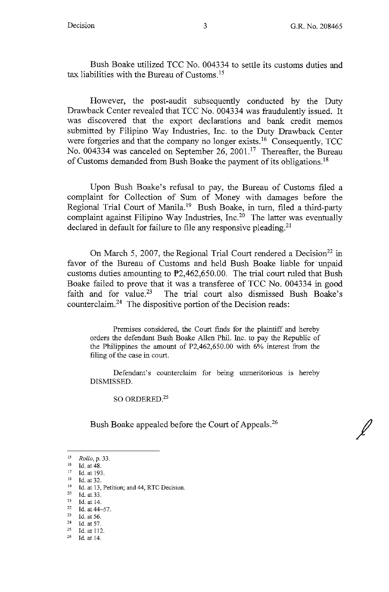Bush Boake utilized TCC No. 004334 to settle its customs duties and tax liabilities with the Bureau of Customs. 15

However, the post-audit subsequently conducted by the Duty Drawback Center revealed that TCC No. 004334 was fraudulently issued. It was discovered that the export declarations and bank credit memos submitted by Filipino Way Industries, Inc. to the Duty Drawback Center were forgeries and that the company no longer exists.<sup>16</sup> Consequently, TCC No. 004334 was canceled on September 26, 2001.<sup>17</sup> Thereafter, the Bureau of Customs demanded from Bush Boake the payment of its obligations. 18

Upon Bush Boake's refusal to pay, the Bureau of Customs filed a complaint for Collection of Sum of Money with damages before the Regional Trial Court of Manila.<sup>19</sup> Bush Boake, in turn, filed a third-party complaint against Filipino Way Industries, Inc.<sup>20</sup> The latter was eventually declared in default for failure to file any responsive pleading.<sup>21</sup>

On March 5, 2007, the Regional Trial Court rendered a Decision<sup>22</sup> in favor of the Bureau of Customs and held Bush Boake liable for unpaid customs duties amounting to P2,462,650.00. The trial court ruled that Bush Boake failed to prove that it was a transferee of TCC No. 004334 in good faith and for value.<sup>23</sup> The trial court also dismissed Bush Boake's counterclaim. 24 The dispositive portion of the Decision reads:

Premises considered, the Court finds for the plaintiff and hereby orders the defendant Bush Boake Allen Phil. Inc. to pay the Republic of the Philippines the amount of P2,462,650.00 with 6% interest from the filing of the case in court.

Defendant's counterclaim for being unmeritorious is hereby DISMISSED.

SO ORDERED.<sup>25</sup>

Bush Boake appealed before the Court of Appeals.<sup>26</sup>

22 Id. at  $44-57$ .<br>
23 Id. at  $56$ .<br>
24 Id. at  $57$ .<br>
25 Id. at 112.<br>
26 Id. at 14.

<sup>15</sup> *Rollo, p.* 33.<br>
16 Id. at 48.<br>
<sup>17</sup> Id. at 193.<br>
<sup>18</sup> Id. at 32.<br>
<sup>19</sup> Id. at 13, Petition; and 44, RTC Decision.<br>
<sup>20</sup> Id. at 33.

 $^{21}$  Id. at 14.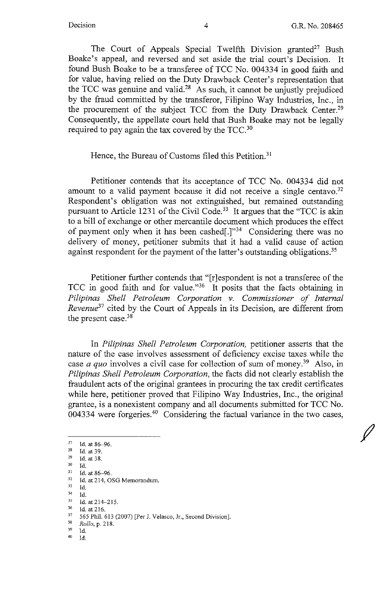*I* 

The Court of Appeals Special Twelfth Division granted<sup>27</sup> Bush Boake's appeal, and reversed and set aside the trial court's Decision. It found Bush Boake to be a transferee of TCC No. 004334 in good faith and for value, having relied on the Duty Drawback Center's representation that the TCC was genuine and valid.<sup>28</sup> As such, it cannot be unjustly prejudiced by the fraud committed by the transferor, Filipino Way Industries, Inc., in the procurement of the subject TCC from the Duty Drawback Center.<sup>29</sup> Consequently, the appellate court held that Bush Boake may not be legally required to pay again the tax covered by the TCC. <sup>30</sup>

### Hence, the Bureau of Customs filed this Petition.<sup>31</sup>

Petitioner contends that its acceptance of TCC No. 004334 did not amount to a valid payment because it did not receive a single centavo.<sup>32</sup> Respondent's obligation was not extinguished, but remained outstanding pursuant to Article 1231 of the Civil Code.<sup>33</sup> It argues that the "TCC is akin to a bill of exchange or other mercantile document which produces the effect of payment only when it has been cashed[.]"34 Considering there was no delivery of money, petitioner submits that it had a valid cause of action against respondent for the payment of the latter's outstanding obligations.<sup>35</sup>

Petitioner further contends that "[r]espondent is not a transferee of the TCC in good faith and for value."<sup>36</sup> It posits that the facts obtaining in *Pilipinas Shell Petroleum Corporation v. Commissioner of Internal Revenue*<sup>37</sup> cited by the Court of Appeals in its Decision, are different from the present case.<sup>38</sup>

In *Pilipinas Shell Petroleum Corporation,* petitioner asserts that the nature of the case involves assessment of deficiency excise taxes while the case *a quo* involves a civil case for collection of sum of money.39 Also, in *Pilipinas Shell Petroleum Corporation,* the facts did not clearly establish the fraudulent acts of the original grantees in procuring the tax credit certificates while here, petitioner proved that Filipino Way Industries, Inc., the original grantee, is a nonexistent company and all documents submitted for TCC No. grantice, is a honexistent company and an documents submitted for TCC FO.<br>004334 were forgeries.<sup>40</sup> Considering the factual variance in the two cases,

 $\frac{27}{28}$  Id. at 86-96.

 $\frac{28}{29}$  Id. at 39.<br>  $\frac{29}{30}$  Id. at 38.

 $\begin{array}{ll}\n 30 & \text{Id.} \\
 31 & \text{Id.} \text{ at } 86-96. \\
 32 & \text{Id.} \text{ at } 214, \text{OSG Memorandum.} \\
 33 & \text{Id}\n \end{array}$ 

<sup>33</sup> Id.

<sup>34</sup> Id. 35 Id.at214-215. 36 Id. at 216. 37 *565* Phil. 613 (2007) [Per J. Velasco, Jr., Second Division]. 38 *Rollo,* p. 218.

<sup>30</sup> Id.

<sup>40</sup> Id.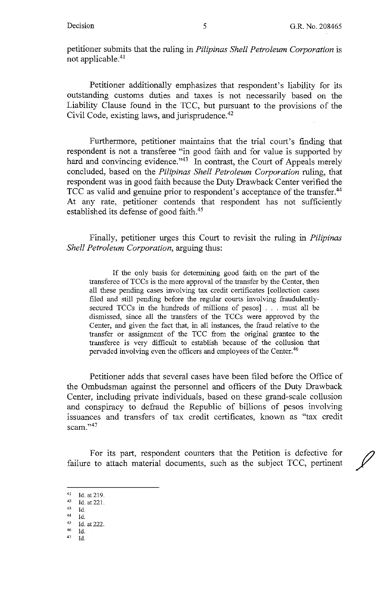petitioner submits that the ruling in *Pilipinas Shell Petroleum Corporation* is not applicable.<sup>41</sup>

Petitioner additionally emphasizes that respondent's liability for its outstanding customs duties and taxes is not necessarily based on the Liability Clause found in the TCC, but pursuant to the provisions of the Civil Code, existing laws, and jurisprudence. 42

Furthermore, petitioner maintains that the trial court's finding that respondent is not a transferee "in good faith and for value is supported by hard and convincing evidence."<sup>43</sup> In contrast, the Court of Appeals merely concluded, based on the *Pilipinas Shell Petroleum Corporation* ruling, that respondent was in good faith because the Duty Drawback Center verified the TCC as valid and genuine prior to respondent's acceptance of the transfer.<sup>44</sup> At any rate, petitioner contends that respondent has not sufficiently established its defense of good faith. <sup>45</sup>

Finally, petitioner urges this Court to revisit the ruling in *Pilipinas Shell Petroleum Corporation,* arguing thus:

If the only basis for determining good faith on the part of the transferee of TCCs is the mere approval of the transfer by the Center, then all these pending cases involving tax credit certificates [ collection cases filed and still pending before the regular courts involving fraudulentlysecured TCCs in the hundreds of millions of pesos] . . . must all be dismissed, since all the transfers of the TCCs were approved by the Center, and given the fact that, in all instances, the fraud relative to the transfer or assigmnent of the TCC from the original grantee to the transferee is very difficult to establish because of the collusion that pervaded involving even the officers and employees of the Center.<sup>46</sup>

Petitioner adds that several cases have been filed before the Office of the Ombudsman against the personnel and officers of the Duty Drawback Center, including private individuals, based on these grand-scale collusion and conspiracy to defraud the Republic of billions of pesos involving issuances and transfers of tax credit certificates, known as "tax credit scam."<sup>47</sup>

For its part, respondent counters that the Petition is defective for failure to attach material documents, such as the subject TCC, pertinent

 $Id.$ 

<sup>41</sup> Id. at 219.<br> $42$  Id. at 221.

 $45$  Id.<br> $45$  Id. at 222.

Id.

*<sup>41</sup>* Id.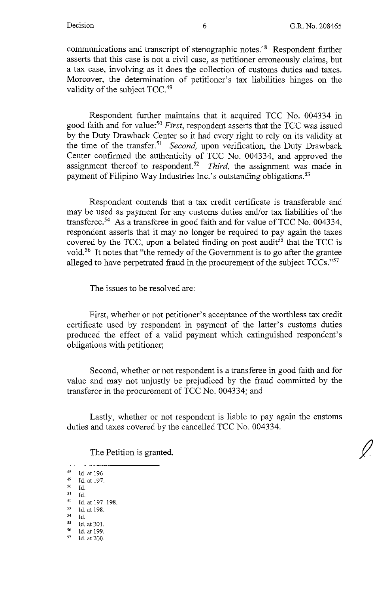communications and transcript of stenographic notes.48 Respondent further asserts that this case is not a civil case, as petitioner erroneously claims, but a tax case, involving as it does the collection of customs duties and taxes. Moreover, the determination of petitioner's tax liabilities hinges on the validity of the subject TCC.<sup>49</sup>

Respondent further maintains that it acquired TCC No. 004334 in good faith and for value:<sup>50</sup> *First*, respondent asserts that the TCC was issued by the Duty Drawback Center so it had every right to rely on its validity at the time of the transfer.<sup>51</sup> Second, upon verification, the Duty Drawback Center confirmed the authenticity of TCC No. 004334, and approved the assignment thereof to respondent.<sup>52</sup> Third, the assignment was made in payment of Filipino Way Industries Inc.'s outstanding obligations.<sup>53</sup>

Respondent contends that a tax credit certificate is transferable and may be used as payment for any customs duties and/or tax liabilities of the transferee.<sup>54</sup> As a transferee in good faith and for value of TCC No. 004334, respondent asserts that it may no longer be required to pay again the taxes covered by the TCC, upon a belated finding on post audit<sup>55</sup> that the TCC is void.<sup>56</sup> It notes that "the remedy of the Government is to go after the grantee alleged to have perpetrated fraud in the procurement of the subject TCCs."<sup>57</sup>

The issues to be resolved are:

First, whether or not petitioner's acceptance of the worthless tax credit certificate used by respondent in payment of the latter's customs duties produced the effect of a valid payment which extinguished respondent's obligations with petitioner;

Second, whether or not respondent is a transferee in good faith and for value and may not unjustly be prejudiced by the fraud committed by the transferor in the procurement of TCC No. 004334; and

Lastly, whether or not respondent is liable to pay again the customs duties and taxes covered by the cancelled TCC No. 004334.

The Petition is granted.

48 Id. at 196.  $^{49}$  Id. at 197. so Id.  $\frac{51}{52}$  Id.  $\begin{array}{r} 52 \\ 53 \\ \text{Id. at } 197 - 198. \\ 54 \\ \text{Id. at } 198. \end{array}$ 54 Id.  $\frac{55}{56}$  Id. at 201.  $^{56}$  Id. at 199. Id. at 200.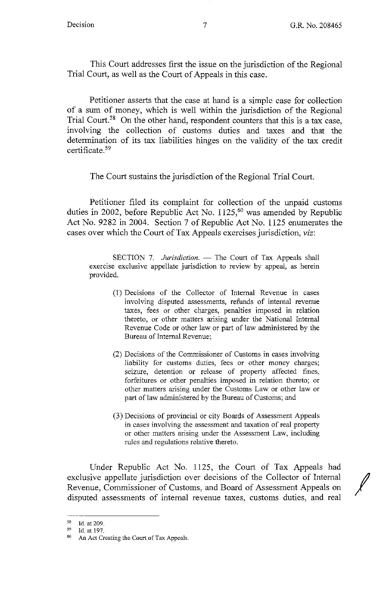This Court addresses first the issue on the jurisdiction of the Regional Trial Court, as well as the Court of Appeals in this case.

Petitioner asserts that the case at hand is a simple case for collection of a sum of money, which is well within the jurisdiction of the Regional Trial Court.<sup>58</sup> On the other hand, respondent counters that this is a tax case, involving the collection of customs duties and taxes and that the determination of its tax liabilities hinges on the validity of the tax credit certificate. 59

The Court sustains the jurisdiction of the Regional Trial Court.

Petitioner filed its complaint for collection of the unpaid customs duties in 2002, before Republic Act No. 1125,<sup>60</sup> was amended by Republic Act No. 9282 in 2004. Section 7 of Republic Act No. 1125 enumerates the cases over which the Court of Tax Appeals exercises jurisdiction, *viz:* 

SECTION 7. *Jurisdiction*. - The Court of Tax Appeals shall exercise exclusive appellate jurisdiction to review by appeal, as herein provided.

- (1) Decisions of the Collector of Internal Revenue in cases involving disputed assessments, refunds of internal revenue taxes, fees or other charges, penalties imposed in relation thereto, or other matters arising under the National Internal Revenue Code or other law or part of law administered by the Bureau of Internal Revenue;
- (2) Decisions of the Commissioner of Customs in cases involving liability for customs duties, fees or other money charges; seizure, detention or release of property affected fines, forfeitures or other penalties imposed in relation thereto; or other matters arising under the Customs Law or other law or part of law administered by the Bureau of Customs; and
- (3) Decisions of provincial or city Boards of Assessment Appeals in cases involving the assessment and taxation of real property or other matters arising under the Assessment Law, including rules and regulations relative thereto.

Under Republic Act No. 1125, the Court of Tax Appeals had exclusive appellate jurisdiction over decisions of the Collector of Internal Revenue, Commissioner of Customs, and Board of Assessment Appeals on disputed assessments of internal revenue taxes, customs duties, and real

 $\frac{58}{59}$  Id. at 209.

 $^{59}$  Id. at 197.

An Act Creating the Court of Tax Appeals.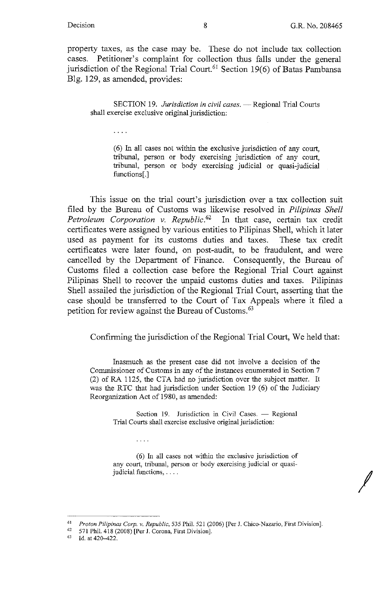$\sim 100$  km s  $^{-1}$ 

*I* 

property taxes, as the case may be. These do not include tax collection cases. Petitioner's complaint for collection thus falls under the general jurisdiction of the Regional Trial Court.<sup>61</sup> Section 19(6) of Batas Pambansa Blg. 129, as amended, provides:

SECTION 19. *Jurisdiction in civil cases*. - Regional Trial Courts shall exercise exclusive original jurisdiction:

( 6) In all cases not within the exclusive jurisdiction of any court, tribunal, person or body exercising jurisdiction of any court, tribunal, person or body exercising judicial or quasi-judicial functions[.]

This issue on the trial court's jurisdiction over a tax collection suit filed by the Bureau of Customs was likewise resolved in *Pilipinas Shell Petroleum Corporation v. Republic.62* In that case, certain tax credit certificates were assigned by various entities to Pilipinas Shell, which it later used as payment for its customs duties and taxes. These tax credit certificates were later found, on post-audit, to be fraudulent, and were cancelled by the Department of Finance. Consequently, the Bureau of Customs filed a collection case before the Regional Trial Court against Pilipinas Shell to recover the unpaid customs duties and taxes. Pilipinas Shell assailed the jurisdiction of the Regional Trial Court, asserting that the case should be transferred to the Court of Tax Appeals where it filed a petition for review against the Bureau of Customs. 63

Confirming the jurisdiction of the Regional Trial Court, We held that:

Inasmuch as the present case did not involve a decision of the Commissioner of Customs in any of the instances enumerated in Section 7 (2) of RA 1125, the CTA had no jurisdiction over the subject matter. It was the RTC that had jurisdiction under Section 19 (6) of the Judiciary Reorganization Act of 1980, as amended:

> Section 19. Jurisdiction in Civil Cases.  $-$  Regional Trial Courts shall exercise exclusive original jurisdiction:

> ( 6) In all cases not within the exclusive jurisdiction of any court, tribunal, person or body exercising judicial or quasijudicial functions, ....

<sup>61</sup>*Proton Pilipinas Corp. v. Republic,* 535 Phil. 521 (2006) [Per J. Chico-Nazario, First Division]. 62 571 Phil. 418 (2008) [Per J. Corona, First Division]. 63 Id. at 420--422.

 $\mathbf{1}$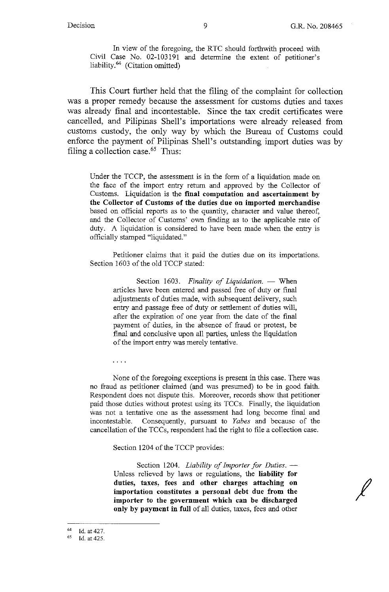*I* 

In view of the foregoing, the RTC should forthwith proceed with Civil Case No. 02-103191 and determine the extent of petitioner's liability.64 (Citation omitted)

This Court further held that the filing of the complaint for collection was a proper remedy because the assessment for customs duties and taxes was already final and incontestable. Since the tax credit certificates were cancelled, and Pilipinas Shell's importations were already released from customs custody, the only way by which the Bureau of Customs could enforce the payment of Pilipinas Shell's outstanding import duties was by filing a collection case.<sup>65</sup> Thus:

Under the TCCP, the assessment is in the form of a liquidation made on the face of the import entry return and approved by the Collector of Customs. Liquidation is the **final computation and ascertainment by the Collector of Customs of the duties due on imported merchandise**  based on official reports as to the quantity, character and value thereof, and the Collector of Customs' own finding as to the applicable rate of duty. A liquidation is considered to have been made when the entry is officially stamped "liquidated."

Petitioner claims that it paid the duties due on its importations. Section 1603 of the old TCCP stated:

> Section 1603. *Finality of Liquidation*. - When articles have been entered and passed free of duty or final adjustments of duties made, with subsequent delivery, such entry and passage free of duty or settlement of duties will, after the expiration of one year from the date of the final payment of duties, in the absence of fraud or protest, be final and conclusive upon all parties, unless the liquidation of the import entry was merely tentative.

. . . .

None of the foregoing exceptions is present in this case. There was no fraud as petitioner claimed ( and was presumed) to be in good faith. Respondent does not dispute this. Moreover, records show that petitioner paid those duties without protest using its TCCs. Finally, the liquidation was not a tentative one as the assessment had long become final and incontestable. Consequently, pursuant to *Yabes* and because of the cancellation of the TCCs, respondent had the right to file a collection case.

Section 1204 of the TCCP provides:

Section 1204. *Liability of Importer for Duties.* --Unless relieved by laws or regulations, the **liability for duties, taxes, fees and other charges attaching on importation constitutes a personal debt due from the importer to the government which can be discharged only by payment in full** of all duties, taxes, fees and other

 $\frac{64}{65}$  Id. at 427.

Id. at 425.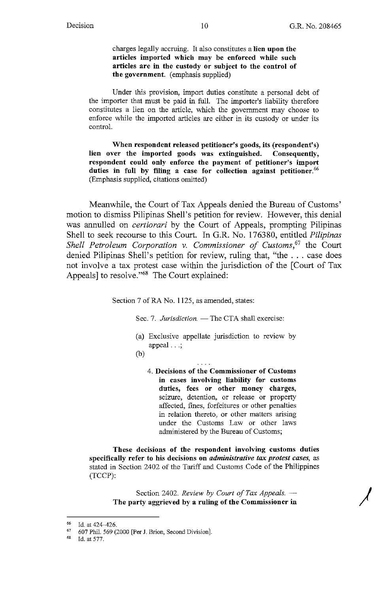*)* 

charges legally accruing. It also constitutes a **lien upon the articles imported which may be enforced while such articles are in the custody or subject to the control of the government.** (emphasis supplied)

Under this provision, import duties constitute a personal debt of the importer that must be paid in full. The importer's liability therefore constitutes a lien on the article, which the government may choose to enforce while the imported articles are either in its custody or under its control.

**When respondent released petitioner's goods, its (respondent's) lien over the imported goods was extinguished. Consequently, respondent could only enforce the payment of petitioner's import**  duties in full by filing a case for collection against petitioner.<sup>66</sup> (Emphasis supplied, citations omitted)

Meanwhile, the Court of Tax Appeals denied the Bureau of Customs' motion to dismiss Pilipinas Shell's petition for review. However, this denial was annulled on *certiorari* by the Court of Appeals, prompting Pilipinas Shell to seek recourse to this Court. In G.R. No. 176380, entitled *Pilipinas Shell Petroleum Corporation v. Commissioner of Customs,67* the Court denied Pilipinas Shell's petition for review, ruling that, "the ... case does not involve a tax protest case within the jurisdiction of the [Court of Tax Appeals] to resolve."<sup>68</sup> The Court explained:

Section 7 of RA No. 1125, as amended, states:

Sec. 7. *Jurisdiction.* - The CTA shall exercise:

- (a) Exclusive appellate jurisdiction to review by appeal  $\ldots$ ;
- (b)
	- 4. **Decisions of the Commissioner of Customs in cases involving liability for customs duties, fees or other money charges,**  seizure, detention, or release or property affected, fines, forfeitures or other penalties in relation thereto, or other matters arising under the Customs Law or other laws administered by the Bureau of Customs;

**These decisions of the respondent involving customs duties specifically refer to his decisions on** *administrative tax protest cases,* as stated in Section 2402 of the Tariff and Customs Code of the Philippines (TCCP):

Section 2402. *Review by Court of Tax Appeals.* -**The party aggrieved by a ruling of the Commissioner in** 

 $^{66}$  Id. at 424-426.

 $^{67}$  607 Phil. 569 (2000 [Per J. Brion, Second Division].

Id. at 577.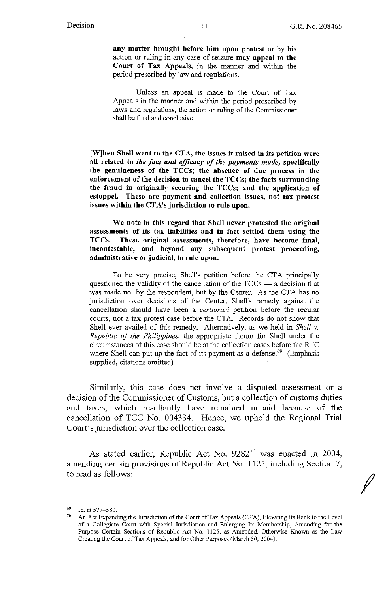. . . .

*I* 

any matter brought before him upon protest or by his action or ruling in any case of seizure **may appeal to the Court of Tax Appeals,** in the manner and within the period prescribed by law and regulations.

Unless an appeal is made to the Court of Tax Appeals in the manner and within the period prescribed by laws and regulations, the action or ruling of the Commissioner shall be final and conclusive.

**[W]hen Shell went to the CTA, the issues it raised in its petition were all related to** *the fact and efficacy of the payments made,* **specifically the genuineness of the TCCs; the absence of due process in the enforcement of the decision to cancel the TCCs; the facts surrounding the fraud in originally securing the TCCs; and the application of estoppel. These are payment and collection issues, not tax protest issues within the CTA's jurisdiction to rule upon.** 

**We note in this regard that Shell never protested the original assessments of its tax liabilities and** in **fact settled them using the TCCs. These original assessments, therefore, have become final, incontestable, and beyond any subsequent protest proceeding, administrative or judicial, to rule upon.** 

To be very precise, Shell's petition before the CTA principally questioned the validity of the cancellation of the  $TCCs$   $-$  a decision that was made not by the respondent, but by the Center. As the CTA has no jurisdiction over decisions of the Center, Shell's remedy against the cancellation should have been a *certiorari* petition before the regular courts, not a tax protest case before the CT A. Records do not show that Shell ever availed of this remedy. Alternatively, as we held in *Shell v*. *Republic of the Philippines,* the appropriate forum for Shell under the circumstances of thls case should be at the collection cases before the RTC where Shell can put up the fact of its payment as a defense.<sup>69</sup> (Emphasis supplied, citations omitted)

Similarly, this case does not involve a disputed assessment or a decision of the Commissioner of Customs, but a collection of customs duties and taxes, which resultantly have remained unpaid because of the cancellation of TCC No. 004334. Hence, we uphold the Regional Trial Court's jurisdiction over the collection case.

As stated earlier, Republic Act No. 9282<sup>70</sup> was enacted in 2004, amending certain provisions of Republic Act No. 1125, including Section 7, to read as follows:

<sup>&</sup>lt;sup>69</sup> Id. at 577–580.<br><sup>70</sup> An Act Expanding the Jurisdiction of the Court of Tax Appeals (CTA), Elevating Its Rank to the Level of a Collegiate Court with Special Jurisdiction and Enlarging Its Membership, Amending for the Purpose Certain Sections of Republic Act No. 1125, as Amended, Otherwise Known as the Law Creating the Court of Tax Appeals, and for Other Purposes (March 30, 2004).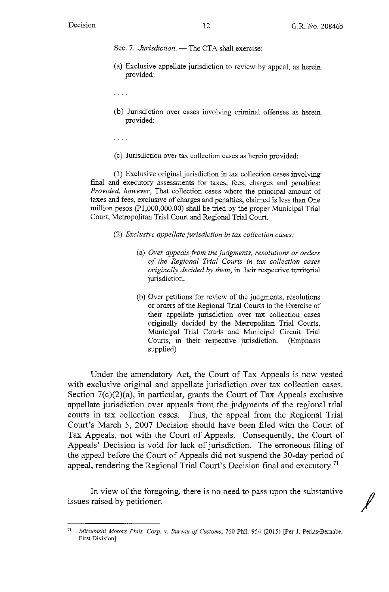Sec. 7. *Jurisdiction.* - The CTA shall exercise:

(a) Exclusive appellate jurisdiction to review by appeal, as herein provided:

 $\cdots$ 

(b) Jurisdiction over cases involving criminal offenses as herein provided:

 $\sim 100$  .

( c) Jurisdiction over tax collection cases as herein provided:

(1) Exclusive original jurisdiction in tax collection cases involving final and executory assessments for taxes, fees, charges and penalties: *Provided, however,* That collection cases where the principal amount of taxes and fees, exclusive of charges and penalties, claimed is less than One million pesos (Pl,000,000.00) shall be tried by the proper Municipal Trial Court, Metropolitan Trial Court and Regional Trial Court.

- (2) *Exclusive appellate jurisdiction in tax collection cases:* 
	- (a) *Over appeals from the judgments, resolutions ot orders of the Regional Trial Courts in tax collection cases originally decided by them,* in their respective territorial jurisdiction.
	- (b) Over petitions for review of the judgments, resolutions or orders of the Regional Trial Courts in the Exercise of their appellate jurisdiction over tax collection cases originally decided by the Metropolitan Trial Courts, Municipal Trial Courts and Municipal Circuit Trial Courts, in their respective jurisdiction. (Emphasis supplied)

Under the amendatory Act, the Court of Tax Appeals is now vested with exclusive original and appellate jurisdiction over tax collection cases. Section  $7(c)(2)(a)$ , in particular, grants the Court of Tax Appeals exclusive appellate jurisdiction over appeals from the judgments of the regional trial courts in tax collection cases. Thus, the appeal from the Regional Trial Court's March 5, 2007 Decision should have been filed with the Court of Tax Appeals, not with the Court of Appeals. Consequently, the Court of Appeals' Decision is void for lack of jurisdiction. The erroneous filing of the appeal before the Court of Appeals did not suspend the 30-day period of appeal, rendering the Regional Trial Court's Decision final and executory.<sup>71</sup>

In view of the foregoing, there is no need to pass upon the substantive issues raised by petitioner.

<sup>71</sup>*Mitsubishi Motors Phils. Corp.* v. *Bureau of Customs,* 760 Phil. 954 (2015) [Per J. Perlas-Bernabe, First Division].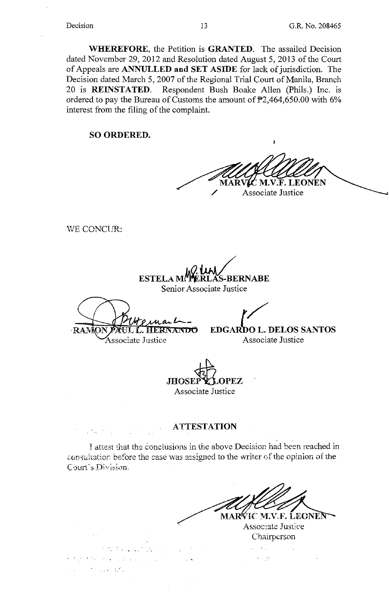**WHEREFORE,** the Petition is **GRANTED.** The assailed Decision dated November 29, 2012 and Resolution dated August 5, 2013 of the Court of Appeals are **ANNULLED and SET ASIDE** for lack of jurisdiction. The Decision dated March 5, 2007 of the Regional Trial Court of Manila, Branch 20 is **REINSTATED.** Respondent Bush Boake Allen (Phils.) Inc. is ordered to pay the Bureau of Customs the amount of P2,464,650.00 with 6% interest from the filing of the complaint.

**SO ORDERED.** 

**M.V.F. LEONEN** 

Associate Justice

WE CONCUR:

ESTELA M!**\*P**ERLAS-BERNABE Senior Associate Justice

HERNANDO ·RAM

/

Associate Justice

 $\sim 10^{11}$ 

 $\mathcal{L}^{\mathcal{L}}$  , where  $\mathcal{L}^{\mathcal{L}}_{\mathcal{L}}$  ,

 $\mathcal{L}_{\rm{max}}$  and  $\mathcal{L}_{\rm{max}}$  and  $\mathcal{L}_{\rm{max}}$ 

**EDGARDO L. DELOS SANTOS** Associate Justice

**.JHOSEffi,OPEZ**  Associate Justice

#### **ATTESTATION**

I attest that the conclusions in the above Decision had been reached in consultation before the case was assigned to the writer of the opinion of the Court's Division.

MAR∜IC M.V.F. LEONEN  $'$ Associate Justice Chairperson

 $\sqrt{1-\lambda}$  and  $\gamma = \frac{1}{2} \pi$